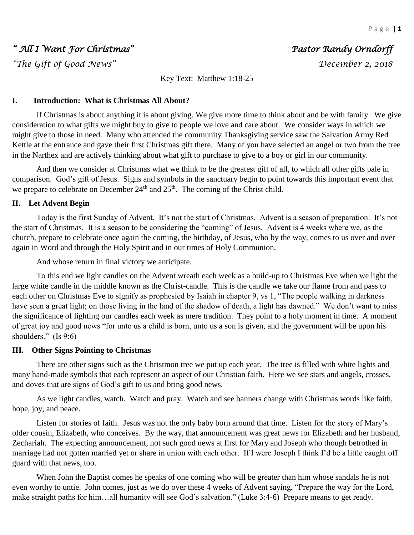# *" All I Want For Christmas" Pastor Randy Orndorff*

*"The Gift of Good News" December 2, 2018* 

Key Text: Matthew 1:18-25

## **I. Introduction: What is Christmas All About?**

If Christmas is about anything it is about giving. We give more time to think about and be with family. We give consideration to what gifts we might buy to give to people we love and care about. We consider ways in which we might give to those in need. Many who attended the community Thanksgiving service saw the Salvation Army Red Kettle at the entrance and gave their first Christmas gift there. Many of you have selected an angel or two from the tree in the Narthex and are actively thinking about what gift to purchase to give to a boy or girl in our community.

And then we consider at Christmas what we think to be the greatest gift of all, to which all other gifts pale in comparison. God's gift of Jesus. Signs and symbols in the sanctuary begin to point towards this important event that we prepare to celebrate on December  $24<sup>th</sup>$  and  $25<sup>th</sup>$ . The coming of the Christ child.

## **II. Let Advent Begin**

Today is the first Sunday of Advent. It's not the start of Christmas. Advent is a season of preparation. It's not the start of Christmas. It is a season to be considering the "coming" of Jesus. Advent is 4 weeks where we, as the church, prepare to celebrate once again the coming, the birthday, of Jesus, who by the way, comes to us over and over again in Word and through the Holy Spirit and in our times of Holy Communion.

And whose return in final victory we anticipate.

To this end we light candles on the Advent wreath each week as a build-up to Christmas Eve when we light the large white candle in the middle known as the Christ-candle. This is the candle we take our flame from and pass to each other on Christmas Eve to signify as prophesied by Isaiah in chapter 9, vs 1, "The people walking in darkness have seen a great light; on those living in the land of the shadow of death, a light has dawned." We don't want to miss the significance of lighting our candles each week as mere tradition. They point to a holy moment in time. A moment of great joy and good news "for unto us a child is born, unto us a son is given, and the government will be upon his shoulders." (Is 9:6)

## **III. Other Signs Pointing to Christmas**

There are other signs such as the Christmon tree we put up each year. The tree is filled with white lights and many hand-made symbols that each represent an aspect of our Christian faith. Here we see stars and angels, crosses, and doves that are signs of God's gift to us and bring good news.

As we light candles, watch. Watch and pray. Watch and see banners change with Christmas words like faith, hope, joy, and peace.

Listen for stories of faith. Jesus was not the only baby born around that time. Listen for the story of Mary's older cousin, Elizabeth, who conceives. By the way, that announcement was great news for Elizabeth and her husband, Zechariah. The expecting announcement, not such good news at first for Mary and Joseph who though betrothed in marriage had not gotten married yet or share in union with each other. If I were Joseph I think I'd be a little caught off guard with that news, too.

When John the Baptist comes he speaks of one coming who will be greater than him whose sandals he is not even worthy to untie. John comes, just as we do over these 4 weeks of Advent saying, "Prepare the way for the Lord, make straight paths for him…all humanity will see God's salvation." (Luke 3:4-6) Prepare means to get ready.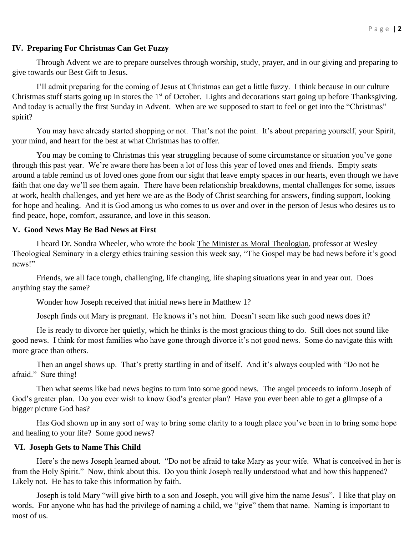## **IV. Preparing For Christmas Can Get Fuzzy**

Through Advent we are to prepare ourselves through worship, study, prayer, and in our giving and preparing to give towards our Best Gift to Jesus.

I'll admit preparing for the coming of Jesus at Christmas can get a little fuzzy. I think because in our culture Christmas stuff starts going up in stores the  $1<sup>st</sup>$  of October. Lights and decorations start going up before Thanksgiving. And today is actually the first Sunday in Advent. When are we supposed to start to feel or get into the "Christmas" spirit?

You may have already started shopping or not. That's not the point. It's about preparing yourself, your Spirit, your mind, and heart for the best at what Christmas has to offer.

You may be coming to Christmas this year struggling because of some circumstance or situation you've gone through this past year. We're aware there has been a lot of loss this year of loved ones and friends. Empty seats around a table remind us of loved ones gone from our sight that leave empty spaces in our hearts, even though we have faith that one day we'll see them again. There have been relationship breakdowns, mental challenges for some, issues at work, health challenges, and yet here we are as the Body of Christ searching for answers, finding support, looking for hope and healing. And it is God among us who comes to us over and over in the person of Jesus who desires us to find peace, hope, comfort, assurance, and love in this season.

#### **V. Good News May Be Bad News at First**

I heard Dr. Sondra Wheeler, who wrote the book The Minister as Moral Theologian, professor at Wesley Theological Seminary in a clergy ethics training session this week say, "The Gospel may be bad news before it's good news!"

Friends, we all face tough, challenging, life changing, life shaping situations year in and year out. Does anything stay the same?

Wonder how Joseph received that initial news here in Matthew 1?

Joseph finds out Mary is pregnant. He knows it's not him. Doesn't seem like such good news does it?

He is ready to divorce her quietly, which he thinks is the most gracious thing to do. Still does not sound like good news. I think for most families who have gone through divorce it's not good news. Some do navigate this with more grace than others.

Then an angel shows up. That's pretty startling in and of itself. And it's always coupled with "Do not be afraid." Sure thing!

Then what seems like bad news begins to turn into some good news. The angel proceeds to inform Joseph of God's greater plan. Do you ever wish to know God's greater plan? Have you ever been able to get a glimpse of a bigger picture God has?

Has God shown up in any sort of way to bring some clarity to a tough place you've been in to bring some hope and healing to your life? Some good news?

## **VI. Joseph Gets to Name This Child**

Here's the news Joseph learned about. "Do not be afraid to take Mary as your wife. What is conceived in her is from the Holy Spirit." Now, think about this. Do you think Joseph really understood what and how this happened? Likely not. He has to take this information by faith.

Joseph is told Mary "will give birth to a son and Joseph, you will give him the name Jesus". I like that play on words. For anyone who has had the privilege of naming a child, we "give" them that name. Naming is important to most of us.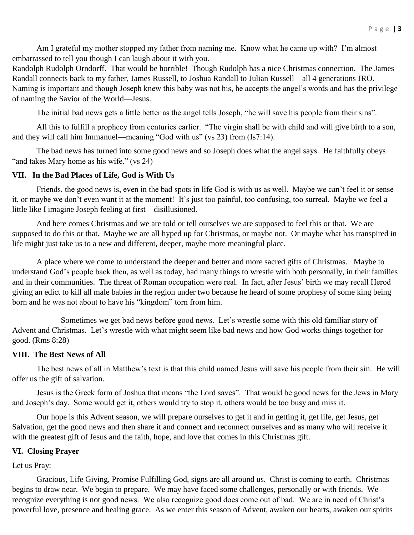Am I grateful my mother stopped my father from naming me. Know what he came up with? I'm almost embarrassed to tell you though I can laugh about it with you.

Randolph Rudolph Orndorff. That would be horrible! Though Rudolph has a nice Christmas connection. The James Randall connects back to my father, James Russell, to Joshua Randall to Julian Russell—all 4 generations JRO. Naming is important and though Joseph knew this baby was not his, he accepts the angel's words and has the privilege of naming the Savior of the World—Jesus.

The initial bad news gets a little better as the angel tells Joseph, "he will save his people from their sins".

All this to fulfill a prophecy from centuries earlier. "The virgin shall be with child and will give birth to a son, and they will call him Immanuel—meaning "God with us" (vs 23) from (Is7:14).

The bad news has turned into some good news and so Joseph does what the angel says. He faithfully obeys "and takes Mary home as his wife." (vs 24)

#### **VII. In the Bad Places of Life, God is With Us**

Friends, the good news is, even in the bad spots in life God is with us as well. Maybe we can't feel it or sense it, or maybe we don't even want it at the moment! It's just too painful, too confusing, too surreal. Maybe we feel a little like I imagine Joseph feeling at first—disillusioned.

And here comes Christmas and we are told or tell ourselves we are supposed to feel this or that. We are supposed to do this or that. Maybe we are all hyped up for Christmas, or maybe not. Or maybe what has transpired in life might just take us to a new and different, deeper, maybe more meaningful place.

A place where we come to understand the deeper and better and more sacred gifts of Christmas. Maybe to understand God's people back then, as well as today, had many things to wrestle with both personally, in their families and in their communities. The threat of Roman occupation were real. In fact, after Jesus' birth we may recall Herod giving an edict to kill all male babies in the region under two because he heard of some prophesy of some king being born and he was not about to have his "kingdom" torn from him.

Sometimes we get bad news before good news. Let's wrestle some with this old familiar story of Advent and Christmas. Let's wrestle with what might seem like bad news and how God works things together for good. (Rms 8:28)

#### **VIII. The Best News of All**

The best news of all in Matthew's text is that this child named Jesus will save his people from their sin. He will offer us the gift of salvation.

Jesus is the Greek form of Joshua that means "the Lord saves". That would be good news for the Jews in Mary and Joseph's day. Some would get it, others would try to stop it, others would be too busy and miss it.

Our hope is this Advent season, we will prepare ourselves to get it and in getting it, get life, get Jesus, get Salvation, get the good news and then share it and connect and reconnect ourselves and as many who will receive it with the greatest gift of Jesus and the faith, hope, and love that comes in this Christmas gift.

#### **VI. Closing Prayer**

Let us Pray:

Gracious, Life Giving, Promise Fulfilling God, signs are all around us. Christ is coming to earth. Christmas begins to draw near. We begin to prepare. We may have faced some challenges, personally or with friends. We recognize everything is not good news. We also recognize good does come out of bad. We are in need of Christ's powerful love, presence and healing grace. As we enter this season of Advent, awaken our hearts, awaken our spirits